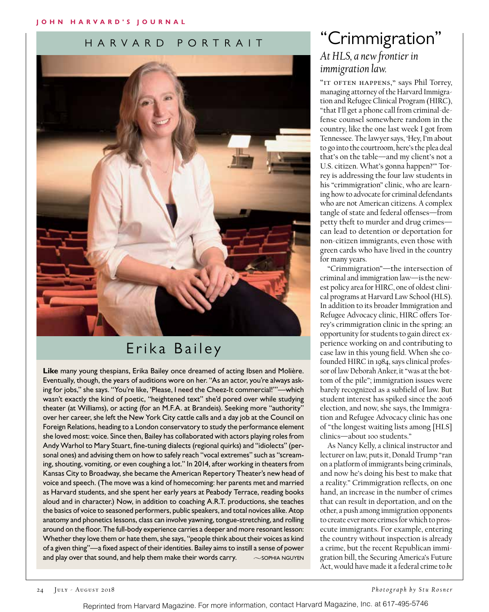### HARVARD PORTRAIT



## Erika Bailey

**Like** many young thespians, Erika Bailey once dreamed of acting Ibsen and Molière. Eventually, though, the years of auditions wore on her. "As an actor, you're always asking for jobs," she says. "You're like, 'Please, I need the Cheez-It commercial!'"—which wasn't exactly the kind of poetic, "heightened text" she'd pored over while studying theater (at Williams), or acting (for an M.F.A. at Brandeis). Seeking more "authority" over her career, she left the New York City cattle calls and a day job at the Council on Foreign Relations, heading to a London conservatory to study the performance element she loved most: voice. Since then, Bailey has collaborated with actors playing roles from Andy Warhol to Mary Stuart, fine-tuning dialects (regional quirks) and "idiolects" (personal ones) and advising them on how to safely reach "vocal extremes" such as "screaming, shouting, vomiting, or even coughing a lot." In 2014, after working in theaters from Kansas City to Broadway, she became the American Repertory Theater's new head of voice and speech. (The move was a kind of homecoming: her parents met and married as Harvard students, and she spent her early years at Peabody Terrace, reading books aloud and in character.) Now, in addition to coaching A.R.T. productions, she teaches the basics of voice to seasoned performers, public speakers, and total novices alike. Atop anatomy and phonetics lessons, class can involve yawning, tongue-stretching, and rolling around on the floor. The full-body experience carries a deeper and more resonant lesson: Whether they love them or hate them, she says, "people think about their voices as kind of a given thing"—a fixed aspect of their identities. Bailey aims to instill a sense of power and play over that sound, and help them make their words carry.  $\sim$  sophia nguyen

### "Crimmigration" *At HLS, a new frontier in immigration law.*

"IT OFTEN HAPPENS," says Phil Torrey, managing attorney of the Harvard Immigration and Refugee Clinical Program (HIRC), "that I'll get a phone call from criminal-defense counsel somewhere random in the country, like the one last week I got from Tennessee. The lawyer says, 'Hey, I'm about to go into the courtroom, here's the plea deal that's on the table—and my client's not a U.S. citizen. What's gonna happen?'" Torrey is addressing the four law students in his "crimmigration" clinic, who are learning how to advocate for criminal defendants who are not American citizens. A complex tangle of state and federal offenses—from petty theft to murder and drug crimes can lead to detention or deportation for non-citizen immigrants, even those with green cards who have lived in the country for many years.

"Crimmigration"—the intersection of criminal and immigration law—is the newest policy area for HIRC, one of oldest clinical programs at Harvard Law School (HLS). In addition to its broader Immigration and Refugee Advocacy clinic, HIRC offers Torrey's crimmigration clinic in the spring: an opportunity for students to gain direct experience working on and contributing to case law in this young field. When she cofounded HIRC in 1984, says clinical professor of law Deborah Anker, it "was at the bottom of the pile"; immigration issues were barely recognized as a subfield of law. But student interest has spiked since the 2016 election, and now, she says, the Immigration and Refugee Advocacy clinic has one of "the longest waiting lists among [HLS] clinics—about 100 students."

As Nancy Kelly, a clinical instructor and lecturer on law, puts it, Donald Trump "ran on a platform of immigrants being criminals, and now he's doing his best to make that a reality." Crimmigration reflects, on one hand, an increase in the number of crimes that can result in deportation, and on the other, a push among immigration opponents to create ever more crimes for which to prosecute immigrants. For example, entering the country without inspection is already a crime, but the recent Republican immigration bill, the Securing America's Future Act, would have made it a federal crime to *be*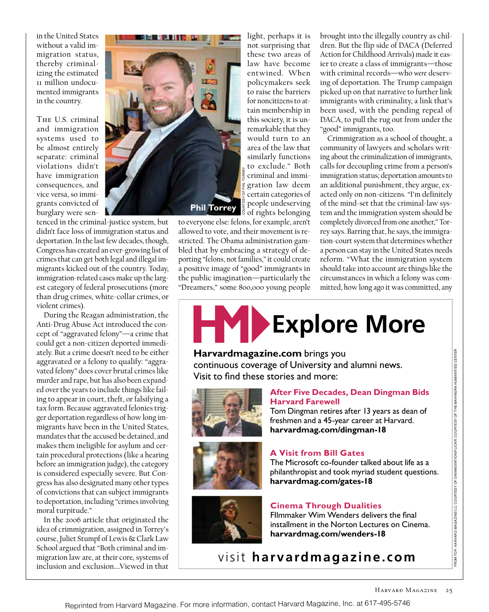in the United States without a valid immigration status, thereby criminalizing the estimated 11 million undocumented immigrants in the country.

The U.S. criminal and immigration systems used to be almost entirely separate: criminal violations didn't have immigration consequences, and vice versa, so immigrants convicted of burglary were sen-

tenced in the criminal-justice system, but didn't face loss of immigration status and deportation. In the last few decades, though, Congress has created an ever-growing list of crimes that can get both legal and illegal immigrants kicked out of the country. Today, immigration-related cases make up the largest category of federal prosecutions (more than drug crimes, white-collar crimes, or violent crimes).

During the Reagan administration, the Anti-Drug Abuse Act introduced the concept of "aggravated felony"—a crime that could get a non-citizen deported immediately. But a crime doesn't need to be either aggravated or a felony to qualify: "aggravated felony" does cover brutal crimes like murder and rape, but has also been expanded over the years to include things like failing to appear in court, theft, or falsifying a tax form. Because aggravated felonies trigger deportation regardless of how long immigrants have been in the United States, mandates that the accused be detained, and makes them ineligible for asylum and certain procedural protections (like a hearing before an immigration judge), the category is considered especially severe. But Congress has also designated many other types of convictions that can subject immigrants to deportation, including "crimes involving moral turpitude."

In the 2006 article that originated the idea of crimmigration, assigned in Torrey's course, Juliet Stumpf of Lewis & Clark Law School argued that "Both criminal and immigration law are, at their core, systems of inclusion and exclusion….Viewed in that



light, perhaps it is not surprising that these two areas of law have become entwined. When policymakers seek to raise the barriers for noncitizens to attain membership in this society, it is unremarkable that they would turn to an area of the law that similarly functions to exclude." Both criminal and immigration law deem certain categories of people undeserving of rights belonging

to everyone else: felons, for example, aren't allowed to vote, and their movement is restricted. The Obama administration gambled that by embracing a strategy of deporting "felons, not families," it could create a positive image of "good" immigrants in the public imagination—particularly the "Dreamers," some 800,000 young people brought into the illegally country as children. But the flip side of DACA (Deferred Action for Childhood Arrivals) made it easier to create a class of immigrants—those with criminal records—who *were* deserving of deportation. The Trump campaign picked up on that narrative to further link immigrants with criminality, a link that's been used, with the pending repeal of DACA, to pull the rug out from under the "good" immigrants, too.

Crimmigration as a school of thought, a community of lawyers and scholars writing about the criminalization of immigrants, calls for decoupling crime from a person's immigration status; deportation amounts to an additional punishment, they argue, exacted only on non-citizens. "I'm definitely of the mind-set that the criminal-law system and the immigration system should be completely divorced from one another," Torrey says. Barring that, he says, the immigration-court system that determines whether a person can stay in the United States needs reform. "What the immigration system should take into account are things like the circumstances in which a felony was committed, how long ago it was committed, any



#### **Harvardmagazine.com** brings you

continuous coverage of University and alumni news. Visit to find these stories and more:



#### **After Five Decades, Dean Dingman Bids Harvard Farewell**

Tom Dingman retires after 13 years as dean of freshmen and a 45-year career at Harvard. **harvardmag.com/dingman-18**



### **A Visit from Bill Gates**

The Microsoft co-founder talked about life as a philanthropist and took myriad student questions. **harvardmag.com/gates-18**



#### **Cinema Through Dualities**

FIlmmaker Wim Wenders delivers the final installment in the Norton Lectures on Cinema. **harvardmag.com/wenders-18**

visit **harvardmagazine.com**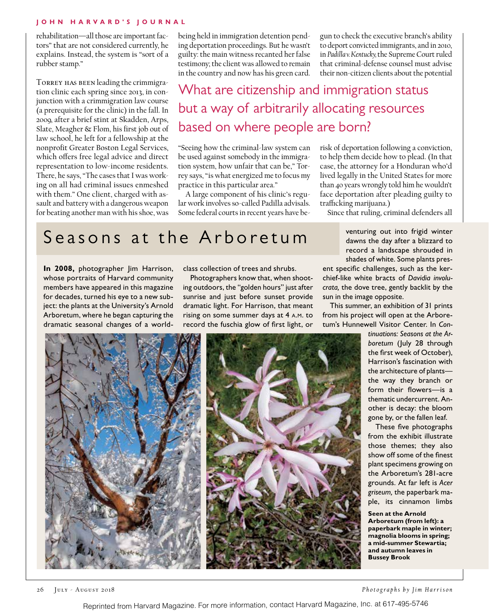#### **John H arvard's Journal**

rehabilitation—all those are important factors" that are not considered currently, he explains. Instead, the system is "sort of a rubber stamp."

TORREY HAS BEEN leading the crimmigration clinic each spring since 2013, in conjunction with a crimmigration law course (a prerequisite for the clinic) in the fall. In 2009, after a brief stint at Skadden, Arps, Slate, Meagher & Flom, his first job out of law school, he left for a fellowship at the nonprofit Greater Boston Legal Services, which offers free legal advice and direct representation to low-income residents. There, he says, "The cases that I was working on all had criminal issues enmeshed with them." One client, charged with assault and battery with a dangerous weapon for beating another man with his shoe, was being held in immigration detention pending deportation proceedings. But he wasn't guilty: the main witness recanted her false testimony; the client was allowed to remain in the country and now has his green card.

gun to check the executive branch's ability to deport convicted immigrants, and in 2010, in *Padilla v. Kentucky,* the Supreme Court ruled that criminal-defense counsel must advise their non-citizen clients about the potential

# What are citizenship and immigration status but a way of arbitrarily allocating resources based on where people are born?

"Seeing how the criminal-law system can be used against somebody in the immigration system, how unfair that can be," Torrey says, "is what energized me to focus my practice in this particular area."

A large component of his clinic's regular work involves so-called Padilla advisals. Some federal courts in recent years have berisk of deportation following a conviction, to help them decide how to plead. (In that case, the attorney for a Honduran who'd lived legally in the United States for more than 40 years wrongly told him he wouldn't face deportation after pleading guilty to trafficking marijuana.)

Since that ruling, criminal defenders all

# Seasons at the Arboretum

**In 2008,** photographer Jim Harrison, whose portraits of Harvard community members have appeared in this magazine for decades, turned his eye to a new subject: the plants at the University's Arnold Arboretum, where he began capturing the dramatic seasonal changes of a worldclass collection of trees and shrubs.

Photographers know that, when shooting outdoors, the "golden hours" just after sunrise and just before sunset provide dramatic light. For Harrison, that meant rising on some summer days at 4 a.m. to record the fuschia glow of first light, or venturing out into frigid winter dawns the day after a blizzard to record a landscape shrouded in shades of white. Some plants pres-

ent specific challenges, such as the kerchief-like white bracts of *Davidia involucrata,* the dove tree, gently backlit by the sun in the image opposite.

This summer, an exhibition of 31 prints from his project will open at the Arboretum's Hunnewell Visitor Center. In *Con-*



*tinuations: Seasons at the Arboretum* (July 28 through the first week of October), Harrison's fascination with the architecture of plants the way they branch or form their flowers—is a thematic undercurrent. Another is decay: the bloom gone by, or the fallen leaf.

These five photographs from the exhibit illustrate those themes; they also show off some of the finest plant specimens growing on the Arboretum's 281-acre grounds. At far left is *Acer griseum,* the paperbark maple, its cinnamon limbs

**Seen at the Arnold Arboretum (from left): a paperbark maple in winter; magnolia blooms in spring; a mid-summer Stewartia; and autumn leaves in Bussey Brook**

26 July - August 2018 *Photographs by Jim Harrison*

Reprinted from Harvard Magazine. For more information, contact Harvard Magazine, Inc. at 617-495-5746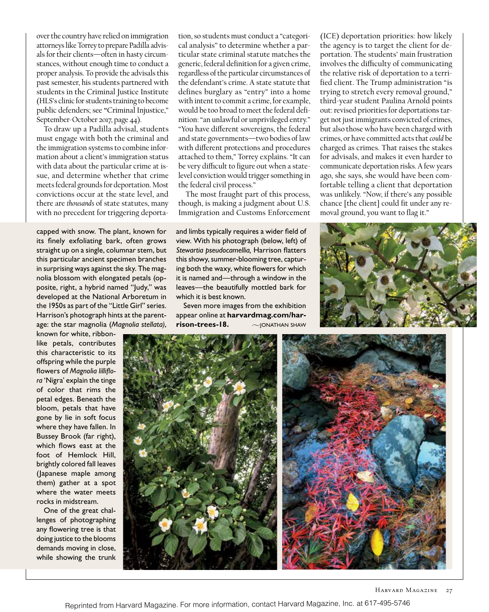over the country have relied on immigration attorneys like Torrey to prepare Padilla advisals for their clients—often in hasty circumstances, without enough time to conduct a proper analysis. To provide the advisals this past semester, his students partnered with students in the Criminal Justice Institute (HLS's clinic for students training to become public defenders; see **"**Criminal Injustice," September-October 2017, page 44).

To draw up a Padilla advisal, students must engage with both the criminal and the immigration systems to combine information about a client's immigration status with data about the particular crime at issue, and determine whether that crime meets federal grounds for deportation. Most convictions occur at the state level, and there are *thousands* of state statutes, many with no precedent for triggering deporta-

capped with snow. The plant, known for its finely exfoliating bark, often grows straight up on a single, columnar stem, but this particular ancient specimen branches in surprising ways against the sky. The magnolia blossom with elongated petals (opposite, right, a hybrid named "Judy," was developed at the National Arboretum in the 1950s as part of the "Little Girl" series. Harrison's photograph hints at the parentage: the star magnolia (*Magnolia stellata)*,

known for white, ribbonlike petals, contributes this characteristic to its offspring while the purple flowers of *Magnolia lilliflora* 'Nigra' explain the tinge of color that rims the petal edges. Beneath the bloom, petals that have gone by lie in soft focus where they have fallen. In Bussey Brook (far right), which flows east at the foot of Hemlock Hill, brightly colored fall leaves (Japanese maple among them) gather at a spot where the water meets rocks in midstream.

One of the great challenges of photographing any flowering tree is that doing justice to the blooms demands moving in close, while showing the trunk tion, so students must conduct a "categorical analysis" to determine whether a particular state criminal statute matches the generic, federal definition for a given crime, regardless of the particular circumstances of the defendant's crime. A state statute that defines burglary as "entry" into a home with intent to commit a crime, for example, would be too broad to meet the federal definition: "an unlawful or unprivileged entry." "You have different sovereigns, the federal and state governments—two bodies of law with different protections and procedures attached to them," Torrey explains. "It can be very difficult to figure out when a statelevel conviction would trigger something in the federal civil process."

The most fraught part of this process, though, is making a judgment about U.S. Immigration and Customs Enforcement

and limbs typically requires a wider field of view. With his photograph (below, left) of *Stewartia pseudocamellia,* Harrison flatters this showy, summer-blooming tree, capturing both the waxy, white flowers for which it is named and—through a window in the leaves—the beautifully mottled bark for which it is best known.

Seven more images from the exhibition appear online at **harvardmag.com/harrison-trees-18.**  $\sim$  JONATHAN SHAW

(ICE) deportation priorities: how likely the agency is to target the client for deportation. The students' main frustration involves the difficulty of communicating the relative risk of deportation to a terrified client. The Trump administration "is trying to stretch every removal ground," third-year student Paulina Arnold points out: revised priorities for deportations target not just immigrants convicted of crimes, but also those who have been charged with crimes, or have committed acts that *could* be charged as crimes. That raises the stakes for advisals, and makes it even harder to communicate deportation risks. A few years ago, she says, she would have been comfortable telling a client that deportation was unlikely. "Now, if there's any possible chance [the client] could fit under any removal ground, you want to flag it."



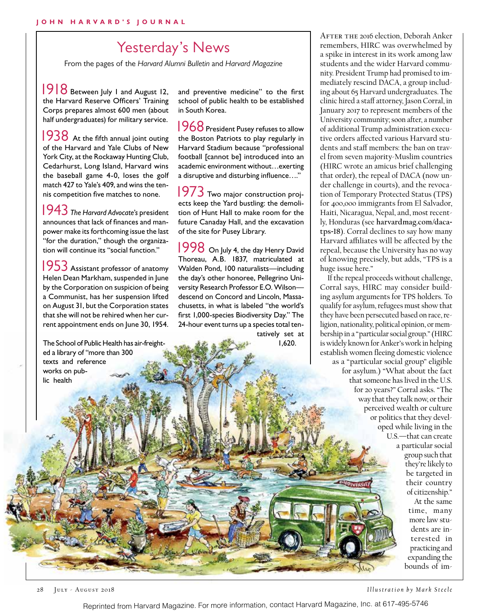## Yesterday's News

From the pages of the *Harvard Alumni Bulletin* and *Harvard Magazine* 

 1918 Between July 1 and August 12, the Harvard Reserve Officers' Training Corps prepares almost 600 men (about half undergraduates) for military service.

1938 At the fifth annual joint outing of the Harvard and Yale Clubs of New York City, at the Rockaway Hunting Club, Cedarhurst, Long Island, Harvard wins the baseball game 4-0, loses the golf match 427 to Yale's 409, and wins the tennis competition five matches to none.

 1943 *The Harvard Advocate*'*s* president announces that lack of finances and manpower make its forthcoming issue the last "for the duration," though the organization will continue its "social function."

1953 Assistant professor of anatomy Helen Dean Markham, suspended in June by the Corporation on suspicion of being a Communist, has her suspension lifted on August 31, but the Corporation states that she will not be rehired when her current appointment ends on June 30, 1954.

The School of Public Health has air-freighted a library of "more than 300 texts and reference works on public health

and preventive medicine" to the first school of public health to be established in South Korea.

1968 President Pusey refuses to allow the Boston Patriots to play regularly in Harvard Stadium because "professional football [cannot be] introduced into an academic environment without…exerting a disruptive and disturbing influence…."

 1973 Two major construction projects keep the Yard bustling: the demolition of Hunt Hall to make room for the future Canaday Hall, and the excavation of the site for Pusey Library.

1998 On July 4, the day Henry David Thoreau, A.B. 1837, matriculated at Walden Pond, 100 naturalists—including the day's other honoree, Pellegrino University Research Professor E.O. Wilson descend on Concord and Lincoln, Massachusetts, in what is labeled "the world's first 1,000-species Biodiversity Day." The 24-hour event turns up a species total ten-

> tatively set at 1,620.

AFTER THE 2016 election, Deborah Anker remembers, HIRC was overwhelmed by a spike in interest in its work among law students and the wider Harvard community. President Trump had promised to immediately rescind DACA, a group including about 65 Harvard undergraduates. The clinic hired a staff attorney, Jason Corral, in January 2017 to represent members of the University community; soon after, a number of additional Trump administration executive orders affected various Harvard students and staff members: the ban on travel from seven majority-Muslim countries (HIRC wrote an amicus brief challenging that order), the repeal of DACA (now under challenge in courts), and the revocation of Temporary Protected Status (TPS) for 400,000 immigrants from El Salvador, Haiti, Nicaragua, Nepal, and, most recently, Honduras (see **harvardmag.com/dacatps**-**18**). Corral declines to say how many Harvard affiliates will be affected by the repeal, because the University has no way of knowing precisely, but adds, "TPS is a huge issue here."

If the repeal proceeds without challenge, Corral says, HIRC may consider building asylum arguments for TPS holders. To qualify for asylum, refugees must show that they have been persecuted based on race, religion, nationality, political opinion, or membership in a "particular social group." (HIRC is widely known for Anker's work in helping establish women fleeing domestic violence as a "particular social group" eligible for asylum.) "What about the fact that someone has lived in the U.S. for 20 years?" Corral asks. "The way that they talk now, or their perceived wealth or culture or politics that they developed while living in the U.S.—that can create a particular social group such that they're likely to be targeted in

> of citizenship." At the same time, many more law students are interested in practicing and expanding the bounds of im-

their country

28 July - August 2018 *Illustration by Mark Steele*

Reprinted from Harvard Magazine. For more information, contact Harvard Magazine, Inc. at 617-495-5746